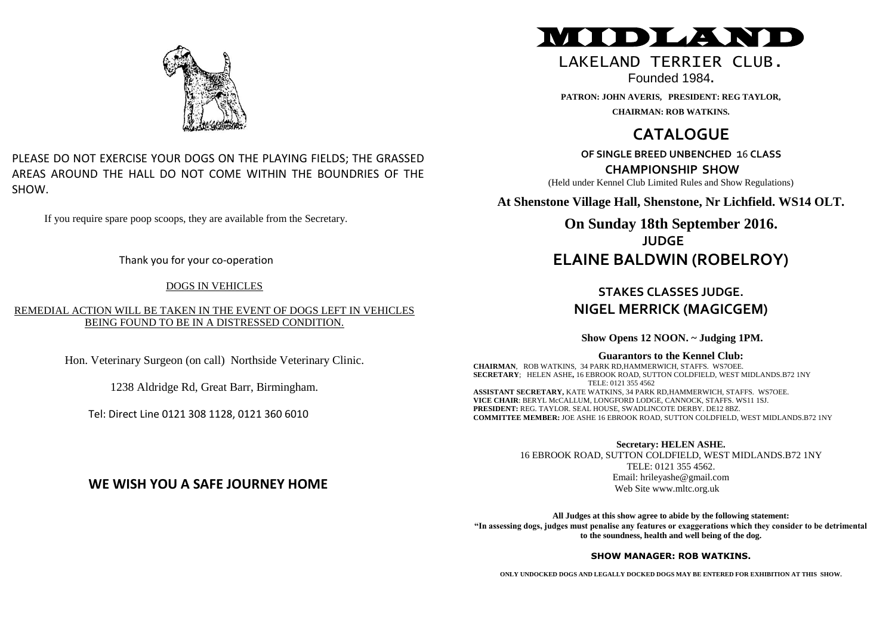

#### PLEASE DO NOT EXERCISE YOUR DOGS ON THE PLAYING FIELDS; THE GRASSED AREAS AROUND THE HALL DO NOT COME WITHIN THE BOUNDRIES OF THE SHOW.

If you require spare poop scoops, they are available from the Secretary.

Thank you for your co-operation

#### DOGS IN VEHICLES

REMEDIAL ACTION WILL BE TAKEN IN THE EVENT OF DOGS LEFT IN VEHICLES BEING FOUND TO BE IN A DISTRESSED CONDITION*.*

Hon. Veterinary Surgeon (on call) Northside Veterinary Clinic.

1238 Aldridge Rd, Great Barr, Birmingham.

Tel: Direct Line 0121 308 1128, 0121 360 6010

# MIDLAND

# LAKELAND TERRTER CLUB.

Founded 1984**.**

**PATRON: JOHN AVERIS, PRESIDENT: REG TAYLOR, CHAIRMAN: ROB WATKINS.**

# **CATALOGUE**

**OF SINGLE BREED UNBENCHED** 16 **CLASS**

**CHAMPIONSHIP SHOW**

(Held under Kennel Club Limited Rules and Show Regulations)

**At Shenstone Village Hall, Shenstone, Nr Lichfield. WS14 OLT.**

**On Sunday 18th September 2016. JUDGE ELAINE BALDWIN (ROBELROY)**

## **STAKES CLASSES JUDGE. NIGEL MERRICK (MAGICGEM)**

**Show Opens 12 NOON. ~ Judging 1PM.**

#### **Guarantors to the Kennel Club:**

**CHAIRMAN**, ROB WATKINS, 34 PARK RD,HAMMERWICH, STAFFS. WS7OEE. **SECRETARY**; HELEN ASHE**,** 16 EBROOK ROAD, SUTTON COLDFIELD, WEST MIDLANDS.B72 1NY TELE: 0121 355 4562 **ASSISTANT SECRETARY,** KATE WATKINS, 34 PARK RD,HAMMERWICH, STAFFS. WS7OEE. **VICE CHAIR**: BERYL McCALLUM, LONGFORD LODGE, CANNOCK, STAFFS. WS11 1SJ. **PRESIDENT:** REG. TAYLOR. SEAL HOUSE, SWADLINCOTE DERBY. DE12 8BZ. **COMMITTEE MEMBER:** JOE ASHE 16 EBROOK ROAD, SUTTON COLDFIELD, WEST MIDLANDS.B72 1NY

**Secretary: HELEN ASHE.**

16 EBROOK ROAD, SUTTON COLDFIELD, WEST MIDLANDS.B72 1NY TELE: 0121 355 4562. Email: hrileyashe@gmail.com Web Site www.mltc.org.uk

**All Judges at this show agree to abide by the following statement: "In assessing dogs, judges must penalise any features or exaggerations which they consider to be detrimental to the soundness, health and well being of the dog.**

#### **SHOW MANAGER: ROB WATKINS.**

**ONLY UNDOCKED DOGS AND LEGALLY DOCKED DOGS MAY BE ENTERED FOR EXHIBITION AT THIS SHOW.**

# **WE WISH YOU A SAFE JOURNEY HOME**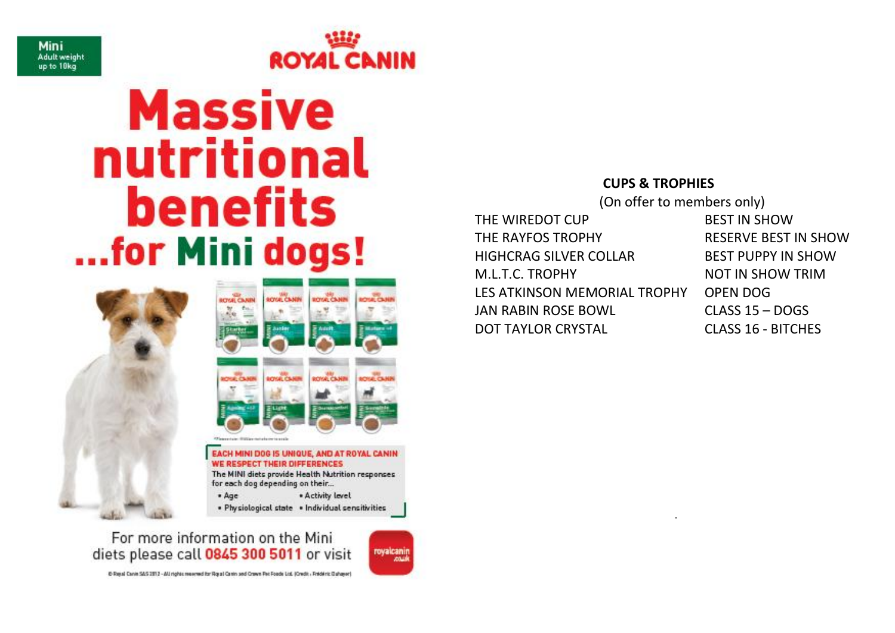



# **Massive** nutritional benefits ...for Mini dogs!





# The MINI diets provide Health Nutrition responses for each dog depending on their...

 $• Aae$ . Activity level . Physiological state . Individual sensitivities

For more information on the Mini diets please call 0845 300 5011 or visit

6 Road Canin SAS 2012 - All nights reserved for Road Canin and Crown Fei: Foods Ltd. (Onetic - Reide ric Dahawar)

royalcanin **ANALL** 

#### **CUPS & TROPHIES**

.

 (On offer to members only) THE WIREDOT CUP BEST IN SHOW THE RAYFOS TROPHY RESERVE BEST IN SHOW HIGHCRAG SILVER COLLAR BEST PUPPY IN SHOW M.L.T.C. TROPHY NOT IN SHOW TRIM LES ATKINSON MEMORIAL TROPHY OPEN DOG JAN RABIN ROSE BOWL CLASS 15 – DOGS DOT TAYLOR CRYSTAL CLASS 16 - BITCHES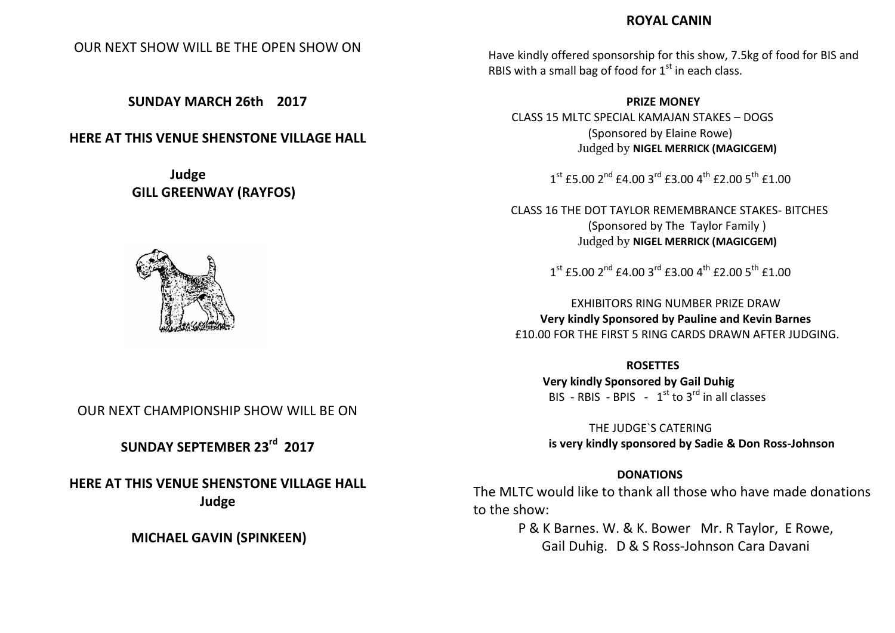#### **ROYAL CANIN**

OUR NEXT SHOW WILL BE THE OPEN SHOW ON

**SUNDAY MARCH 26th 2017**

#### **HERE AT THIS VENUE SHENSTONE VILLAGE HALL**

**Judge GILL GREENWAY (RAYFOS)**



Have kindly offered sponsorship for this show, 7.5kg of food for BIS and RBIS with a small bag of food for  $1<sup>st</sup>$  in each class.

**PRIZE MONEY**

CLASS 15 MLTC SPECIAL KAMAJAN STAKES – DOGS (Sponsored by Elaine Rowe) Judged by **NIGEL MERRICK (MAGICGEM)**

 $1^{\text{st}}$  £5.00  $2^{\text{nd}}$  £4.00  $3^{\text{rd}}$  £3.00  $4^{\text{th}}$  £2.00  $5^{\text{th}}$  £1.00

CLASS 16 THE DOT TAYLOR REMEMBRANCE STAKES- BITCHES (Sponsored by The Taylor Family ) Judged by **NIGEL MERRICK (MAGICGEM)**

 $1^{\text{st}}$  £5.00  $2^{\text{nd}}$  £4.00  $3^{\text{rd}}$  £3.00  $4^{\text{th}}$  £2.00  $5^{\text{th}}$  £1.00

EXHIBITORS RING NUMBER PRIZE DRAW **Very kindly Sponsored by Pauline and Kevin Barnes** £10.00 FOR THE FIRST 5 RING CARDS DRAWN AFTER JUDGING.

**ROSETTES Very kindly Sponsored by Gail Duhig** BIS - RBIS - BPIS -  $1<sup>st</sup>$  to  $3<sup>rd</sup>$  in all classes

 THE JUDGE`S CATERING **is very kindly sponsored by Sadie & Don Ross-Johnson**

#### **DONATIONS**

The MLTC would like to thank all those who have made donations to the show:

> P & K Barnes. W. & K. Bower Mr. R Taylor, E Rowe, Gail Duhig. D & S Ross-Johnson Cara Davani

OUR NEXT CHAMPIONSHIP SHOW WILL BE ON

**SUNDAY SEPTEMBER 23rd 2017**

**HERE AT THIS VENUE SHENSTONE VILLAGE HALL Judge**

**MICHAEL GAVIN (SPINKEEN)**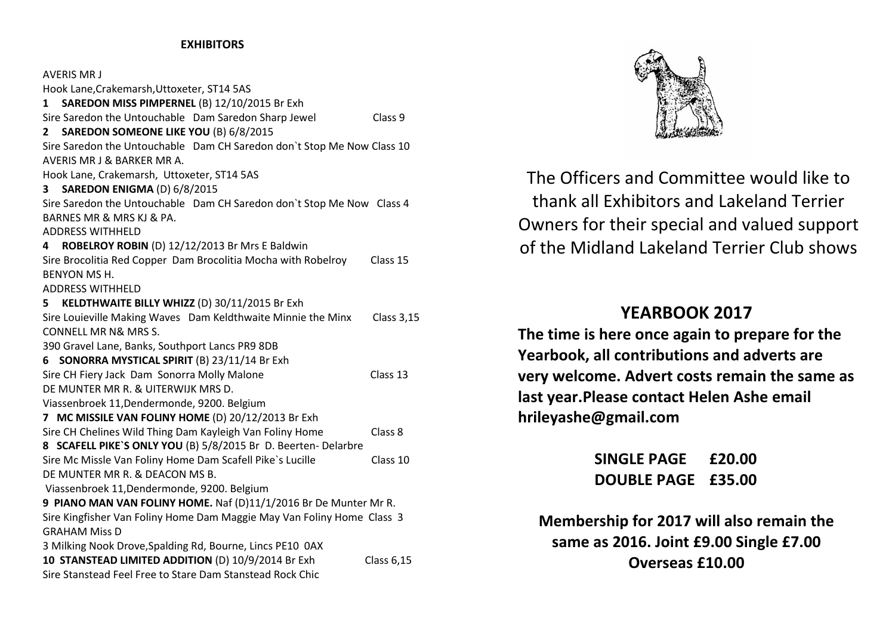#### **EXHIBITORS**

| AVERIS MR J                                                            |                   |  |  |
|------------------------------------------------------------------------|-------------------|--|--|
| Hook Lane, Crakemarsh, Uttoxeter, ST14 5AS                             |                   |  |  |
| SAREDON MISS PIMPERNEL (B) 12/10/2015 Br Exh<br>$\mathbf 1$            |                   |  |  |
| Sire Saredon the Untouchable Dam Saredon Sharp Jewel                   | Class 9           |  |  |
| SAREDON SOMEONE LIKE YOU (B) 6/8/2015<br>2                             |                   |  |  |
| Sire Saredon the Untouchable Dam CH Saredon don't Stop Me Now Class 10 |                   |  |  |
| AVERIS MR J & BARKER MR A.                                             |                   |  |  |
| Hook Lane, Crakemarsh, Uttoxeter, ST14 5AS                             |                   |  |  |
| SAREDON ENIGMA (D) 6/8/2015<br>3.                                      |                   |  |  |
| Sire Saredon the Untouchable Dam CH Saredon don't Stop Me Now Class 4  |                   |  |  |
| BARNES MR & MRS KJ & PA.                                               |                   |  |  |
| <b>ADDRESS WITHHELD</b>                                                |                   |  |  |
| ROBELROY ROBIN (D) 12/12/2013 Br Mrs E Baldwin<br>4                    |                   |  |  |
| Sire Brocolitia Red Copper Dam Brocolitia Mocha with Robelroy          | Class 15          |  |  |
| <b>BENYON MS H.</b>                                                    |                   |  |  |
| <b>ADDRESS WITHHELD</b>                                                |                   |  |  |
| KELDTHWAITE BILLY WHIZZ (D) 30/11/2015 Br Exh<br>5.                    |                   |  |  |
| Sire Louieville Making Waves Dam Keldthwaite Minnie the Minx           | <b>Class 3,15</b> |  |  |
| <b>CONNELL MR N&amp; MRS S.</b>                                        |                   |  |  |
| 390 Gravel Lane, Banks, Southport Lancs PR9 8DB                        |                   |  |  |
| SONORRA MYSTICAL SPIRIT (B) 23/11/14 Br Exh<br>6                       |                   |  |  |
| Sire CH Fiery Jack Dam Sonorra Molly Malone                            | Class 13          |  |  |
| DE MUNTER MR R. & UITERWIJK MRS D.                                     |                   |  |  |
| Viassenbroek 11, Dendermonde, 9200. Belgium                            |                   |  |  |
| 7 MC MISSILE VAN FOLINY HOME (D) 20/12/2013 Br Exh                     |                   |  |  |
| Sire CH Chelines Wild Thing Dam Kayleigh Van Foliny Home               | Class 8           |  |  |
| 8 SCAFELL PIKE'S ONLY YOU (B) 5/8/2015 Br D. Beerten- Delarbre         |                   |  |  |
| Sire Mc Missle Van Foliny Home Dam Scafell Pike's Lucille              | Class 10          |  |  |
| DE MUNTER MR R. & DEACON MS B.                                         |                   |  |  |
| Viassenbroek 11, Dendermonde, 9200. Belgium                            |                   |  |  |
| 9 PIANO MAN VAN FOLINY HOME. Naf (D)11/1/2016 Br De Munter Mr R.       |                   |  |  |
| Sire Kingfisher Van Foliny Home Dam Maggie May Van Foliny Home Class 3 |                   |  |  |
| <b>GRAHAM Miss D</b>                                                   |                   |  |  |
| 3 Milking Nook Drove, Spalding Rd, Bourne, Lincs PE10 0AX              |                   |  |  |
| 10 STANSTEAD LIMITED ADDITION (D) 10/9/2014 Br Exh                     | <b>Class 6,15</b> |  |  |
| Sire Stanstead Feel Free to Stare Dam Stanstead Rock Chic              |                   |  |  |



The Officers and Committee would like to thank all Exhibitors and Lakeland Terrier Owners for their special and valued support of the Midland Lakeland Terrier Club shows

# **YEARBOOK 2017**

**The time is here once again to prepare for the Yearbook, all contributions and adverts are very welcome. Advert costs remain the same as last year.Please contact Helen Ashe email hrileyashe@gmail.com**

> **SINGLE PAGE £20.00 DOUBLE PAGE £35.00**

**Membership for 2017 will also remain the same as 2016. Joint £9.00 Single £7.00 Overseas £10.00**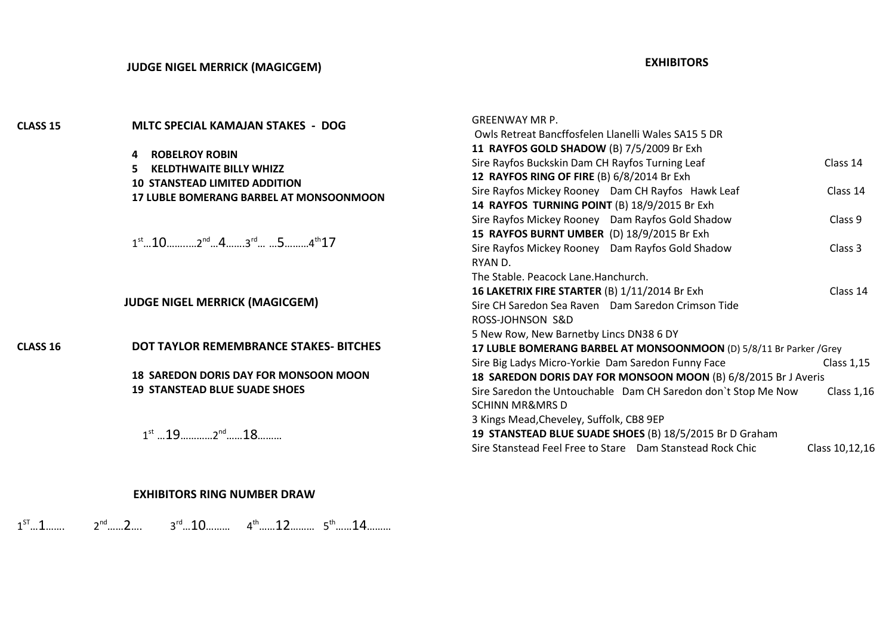#### **EXHIBITORS**

| CLASS 15        | MLTC SPECIAL KAMAJAN STAKES - DOG                                                                                       | <b>GREENWAY MR P.</b><br>Owls Retreat Bancffosfelen Llanelli Wales SA15 5 DR |                   |  |
|-----------------|-------------------------------------------------------------------------------------------------------------------------|------------------------------------------------------------------------------|-------------------|--|
|                 | <b>ROBELROY ROBIN</b>                                                                                                   | 11 RAYFOS GOLD SHADOW (B) 7/5/2009 Br Exh                                    |                   |  |
|                 | <b>KELDTHWAITE BILLY WHIZZ</b><br>5.<br><b>10 STANSTEAD LIMITED ADDITION</b><br>17 LUBLE BOMERANG BARBEL AT MONSOONMOON | Sire Rayfos Buckskin Dam CH Rayfos Turning Leaf                              | Class 14          |  |
|                 |                                                                                                                         | 12 RAYFOS RING OF FIRE (B) 6/8/2014 Br Exh                                   |                   |  |
|                 |                                                                                                                         | Sire Rayfos Mickey Rooney Dam CH Rayfos Hawk Leaf                            | Class 14          |  |
|                 |                                                                                                                         | 14 RAYFOS TURNING POINT (B) 18/9/2015 Br Exh                                 |                   |  |
|                 |                                                                                                                         | Sire Rayfos Mickey Rooney Dam Rayfos Gold Shadow                             | Class 9           |  |
|                 |                                                                                                                         | 15 RAYFOS BURNT UMBER (D) 18/9/2015 Br Exh                                   |                   |  |
|                 | $1^{st}$ $10$ $10$ $2^{nd}$ $4$ $3^{rd}$ $5$ $15$ $4^{th}$ $17$                                                         | Sire Rayfos Mickey Rooney Dam Rayfos Gold Shadow                             | Class 3           |  |
|                 |                                                                                                                         | RYAN D.                                                                      |                   |  |
|                 | <b>JUDGE NIGEL MERRICK (MAGICGEM)</b>                                                                                   | The Stable. Peacock Lane. Hanchurch.                                         |                   |  |
|                 |                                                                                                                         | 16 LAKETRIX FIRE STARTER (B) 1/11/2014 Br Exh                                | Class 14          |  |
|                 |                                                                                                                         | Sire CH Saredon Sea Raven Dam Saredon Crimson Tide                           |                   |  |
|                 |                                                                                                                         | ROSS-JOHNSON S&D                                                             |                   |  |
|                 |                                                                                                                         | 5 New Row, New Barnetby Lincs DN38 6 DY                                      |                   |  |
| <b>CLASS 16</b> | DOT TAYLOR REMEMBRANCE STAKES-BITCHES<br><b>18 SAREDON DORIS DAY FOR MONSOON MOON</b>                                   | 17 LUBLE BOMERANG BARBEL AT MONSOONMOON (D) 5/8/11 Br Parker / Grey          |                   |  |
|                 |                                                                                                                         | Sire Big Ladys Micro-Yorkie Dam Saredon Funny Face                           | Class $1,15$      |  |
|                 |                                                                                                                         | 18 SAREDON DORIS DAY FOR MONSOON MOON (B) 6/8/2015 Br J Averis               |                   |  |
|                 | <b>19 STANSTEAD BLUE SUADE SHOES</b>                                                                                    | Sire Saredon the Untouchable Dam CH Saredon don't Stop Me Now                | <b>Class 1,16</b> |  |
|                 |                                                                                                                         | <b>SCHINN MR&amp;MRS D</b>                                                   |                   |  |
|                 |                                                                                                                         | 3 Kings Mead, Cheveley, Suffolk, CB8 9EP                                     |                   |  |
|                 | $1^{st}$ $19$ $2^{nd}$ $18$                                                                                             | 19 STANSTEAD BLUE SUADE SHOES (B) 18/5/2015 Br D Graham                      |                   |  |
|                 |                                                                                                                         | Sire Stanstead Feel Free to Stare  Dam Stanstead Rock Chic                   | Class 10,12,16    |  |

#### **EXHIBITORS RING NUMBER DRAW**

 $1^{57}...1......$   $2^{nd}......2...$   $3^{rd}...10......$   $4^{th}......12......$   $5^{th}......14......$